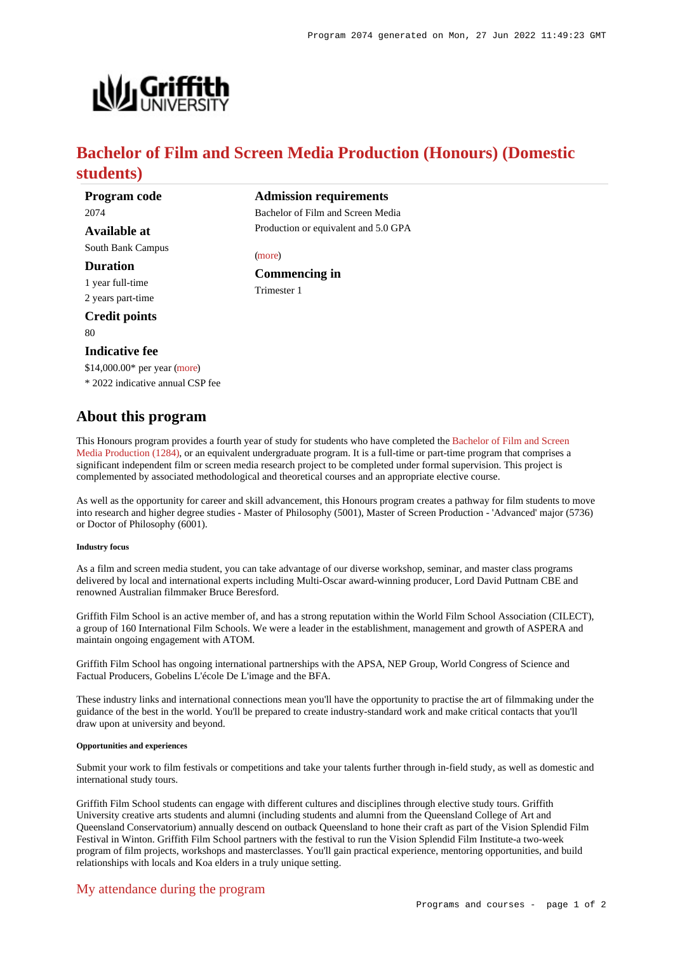

# **Bachelor of Film and Screen Media Production (Honours) (Domestic students)**

**Admission requirements** Bachelor of Film and Screen Media Production or equivalent and 5.0 GPA

[\(more](https://www148.griffith.edu.au/programs-courses/Program/2074/HowToApply/Domestic#can-i-apply))

Trimester 1

**Commencing in**

**Program code** 2074 **Available at**

South Bank Campus

**Duration**

1 year full-time 2 years part-time

**Credit points**

80

### **Indicative fee**

\$14,000.00\* per year [\(more](https://www148.griffith.edu.au/programs-courses/Program/2074/Overview/Domestic#fees))

\* 2022 indicative annual CSP fee

## **About this program**

This Honours program provides a fourth year of study for students who have completed the [Bachelor of Film and Screen](https://www148.griffith.edu.au/Search/Results?SearchText=1284) [Media Production \(1284\)](https://www148.griffith.edu.au/Search/Results?SearchText=1284), or an equivalent undergraduate program. It is a full-time or part-time program that comprises a significant independent film or screen media research project to be completed under formal supervision. This project is complemented by associated methodological and theoretical courses and an appropriate elective course.

As well as the opportunity for career and skill advancement, this Honours program creates a pathway for film students to move into research and higher degree studies - Master of Philosophy (5001), Master of Screen Production - 'Advanced' major (5736) or Doctor of Philosophy (6001).

#### **Industry focus**

As a film and screen media student, you can take advantage of our diverse workshop, seminar, and master class programs delivered by local and international experts including Multi-Oscar award-winning producer, Lord David Puttnam CBE and renowned Australian filmmaker Bruce Beresford.

Griffith Film School is an active member of, and has a strong reputation within the World Film School Association (CILECT), a group of 160 International Film Schools. We were a leader in the establishment, management and growth of ASPERA and maintain ongoing engagement with ATOM.

Griffith Film School has ongoing international partnerships with the APSA, NEP Group, World Congress of Science and Factual Producers, Gobelins L'école De L'image and the BFA.

These industry links and international connections mean you'll have the opportunity to practise the art of filmmaking under the guidance of the best in the world. You'll be prepared to create industry-standard work and make critical contacts that you'll draw upon at university and beyond.

#### **Opportunities and experiences**

Submit your work to film festivals or competitions and take your talents further through in-field study, as well as domestic and international study tours.

Griffith Film School students can engage with different cultures and disciplines through elective study tours. Griffith University creative arts students and alumni (including students and alumni from the Queensland College of Art and Queensland Conservatorium) annually descend on outback Queensland to hone their craft as part of the Vision Splendid Film Festival in Winton. Griffith Film School partners with the festival to run the Vision Splendid Film Institute-a two-week program of film projects, workshops and masterclasses. You'll gain practical experience, mentoring opportunities, and build relationships with locals and Koa elders in a truly unique setting.

### [My attendance during the program](https://www148.griffith.edu.au/programs-courses/Program/2074/Overview/Domestic#attendance)